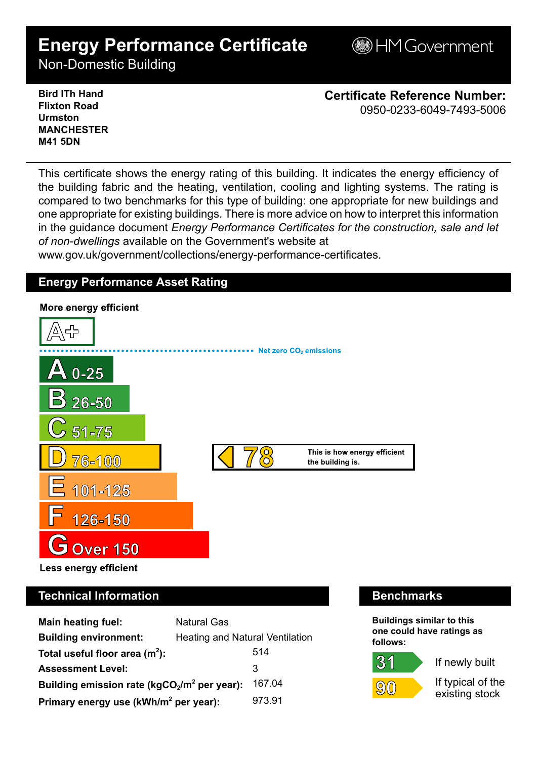# **Energy Performance Certificate**

**BHM Government** 

Non-Domestic Building

**Bird ITh Hand Flixton Road Urmston MANCHESTER M41 5DN**

**Certificate Reference Number:** 0950-0233-6049-7493-5006

This certificate shows the energy rating of this building. It indicates the energy efficiency of the building fabric and the heating, ventilation, cooling and lighting systems. The rating is compared to two benchmarks for this type of building: one appropriate for new buildings and one appropriate for existing buildings. There is more advice on how to interpret this information in the guidance document *Energy Performance Certificates for the construction, sale and let of non-dwellings* available on the Government's website at

www.gov.uk/government/collections/energy-performance-certificates.

# **Energy Performance Asset Rating**



# **Technical Information Benchmarks**

| <b>Main heating fuel:</b>                         | <b>Natural Gas</b>              |        |
|---------------------------------------------------|---------------------------------|--------|
| <b>Building environment:</b>                      | Heating and Natural Ventilation |        |
| Total useful floor area $(m2)$ :                  |                                 | 514    |
| <b>Assessment Level:</b>                          |                                 | 3      |
| Building emission rate ( $kgCO2/m2$ per year):    |                                 | 167.04 |
| Primary energy use (kWh/m <sup>2</sup> per year): |                                 | 973.91 |

**Buildings similar to this one could have ratings as follows:**

If newly built

 $(9)(0)$ 

 $31$ 

If typical of the existing stock